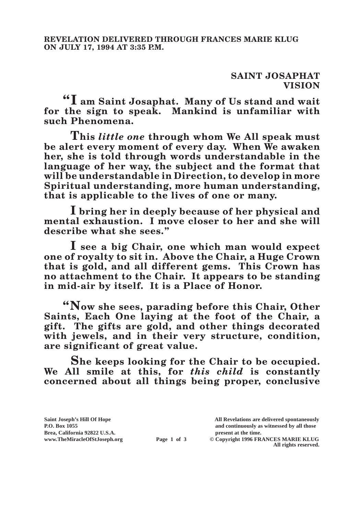## **SAINT JOSAPHAT VISION**

**"I am Saint Josaphat. Many of Us stand and wait for the sign to speak. Mankind is unfamiliar with such Phenomena.**

**This** *little one* **through whom We All speak must be alert every moment of every day. When We awaken her, she is told through words understandable in the language of her way, the subject and the format that will be understandable in Direction, to develop in more Spiritual understanding, more human understanding, that is applicable to the lives of one or many.**

**I bring her in deeply because of her physical and mental exhaustion. I move closer to her and she will describe what she sees."**

**I see a big Chair, one which man would expect one of royalty to sit in. Above the Chair, a Huge Crown that is gold, and all different gems. This Crown has no attachment to the Chair. It appears to be standing in mid-air by itself. It is a Place of Honor.**

**"Now she sees, parading before this Chair, Other Saints, Each One laying at the foot of the Chair, a gift. The gifts are gold, and other things decorated with jewels, and in their very structure, condition, are significant of great value.**

**She keeps looking for the Chair to be occupied. We All smile at this, for** *this child* **is constantly concerned about all things being proper, conclusive** 

**Saint Joseph's Hill Of Hope All Revelations are delivered spontaneously P.O. Box 1055 and continuously as witnessed by all those** 

**Page 1 of 3** © Copyright 1996 FRANCES MARIE KLUG **All rights reserved.**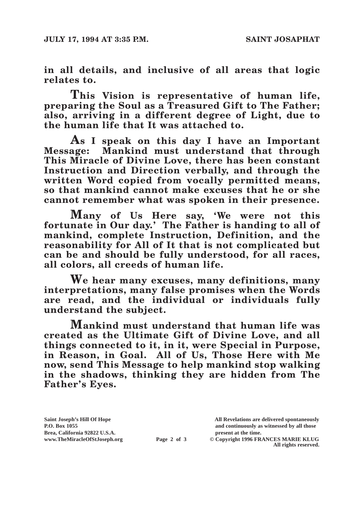**in all details, and inclusive of all areas that logic relates to.**

**This Vision is representative of human life, preparing the Soul as a Treasured Gift to The Father; also, arriving in a different degree of Light, due to the human life that It was attached to.**

**As I speak on this day I have an Important Message: Mankind must understand that through This Miracle of Divine Love, there has been constant Instruction and Direction verbally, and through the written Word copied from vocally permitted means, so that mankind cannot make excuses that he or she cannot remember what was spoken in their presence.**

**Many of Us Here say, 'We were not this fortunate in Our day.' The Father is handing to all of mankind, complete Instruction, Definition, and the reasonability for All of It that is not complicated but can be and should be fully understood, for all races, all colors, all creeds of human life.**

**We hear many excuses, many definitions, many interpretations, many false promises when the Words are read, and the individual or individuals fully understand the subject.**

**Mankind must understand that human life was created as the Ultimate Gift of Divine Love, and all things connected to it, in it, were Special in Purpose, in Reason, in Goal. All of Us, Those Here with Me now, send This Message to help mankind stop walking in the shadows, thinking they are hidden from The Father's Eyes.**

**Saint Joseph's Hill Of Hope All Revelations are delivered spontaneously P.O. Box 1055 and continuously as witnessed by all those** 

**Page 2 of 3** © Copyright 1996 FRANCES MARIE KLUG **All rights reserved.**